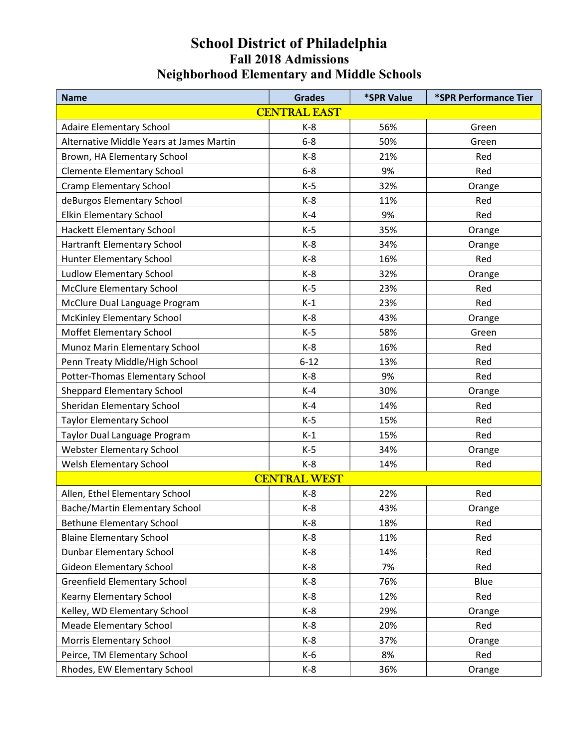| <b>Name</b>                              | <b>Grades</b> | <b>*SPR Value</b> | *SPR Performance Tier |  |  |  |
|------------------------------------------|---------------|-------------------|-----------------------|--|--|--|
| <b>CENTRAL EAST</b>                      |               |                   |                       |  |  |  |
| <b>Adaire Elementary School</b>          | $K-8$         | 56%               | Green                 |  |  |  |
| Alternative Middle Years at James Martin | $6 - 8$       | 50%               | Green                 |  |  |  |
| Brown, HA Elementary School              | $K-8$         | 21%               | Red                   |  |  |  |
| <b>Clemente Elementary School</b>        | $6-8$         | 9%                | Red                   |  |  |  |
| Cramp Elementary School                  | $K-5$         | 32%               | Orange                |  |  |  |
| deBurgos Elementary School               | $K-8$         | 11%               | Red                   |  |  |  |
| <b>Elkin Elementary School</b>           | $K-4$         | 9%                | Red                   |  |  |  |
| Hackett Elementary School                | $K-5$         | 35%               | Orange                |  |  |  |
| Hartranft Elementary School              | $K-8$         | 34%               | Orange                |  |  |  |
| Hunter Elementary School                 | $K-8$         | 16%               | Red                   |  |  |  |
| Ludlow Elementary School                 | $K-8$         | 32%               | Orange                |  |  |  |
| <b>McClure Elementary School</b>         | $K-5$         | 23%               | Red                   |  |  |  |
| McClure Dual Language Program            | $K-1$         | 23%               | Red                   |  |  |  |
| McKinley Elementary School               | $K-8$         | 43%               | Orange                |  |  |  |
| Moffet Elementary School                 | $K-5$         | 58%               | Green                 |  |  |  |
| Munoz Marin Elementary School            | K-8           | 16%               | Red                   |  |  |  |
| Penn Treaty Middle/High School           | $6 - 12$      | 13%               | Red                   |  |  |  |
| Potter-Thomas Elementary School          | $K-8$         | 9%                | Red                   |  |  |  |
| <b>Sheppard Elementary School</b>        | $K-4$         | 30%               | Orange                |  |  |  |
| Sheridan Elementary School               | $K-4$         | 14%               | Red                   |  |  |  |
| <b>Taylor Elementary School</b>          | $K-5$         | 15%               | Red                   |  |  |  |
| Taylor Dual Language Program             | $K-1$         | 15%               | Red                   |  |  |  |
| <b>Webster Elementary School</b>         | $K-5$         | 34%               | Orange                |  |  |  |
| Welsh Elementary School                  | $K-8$         | 14%               | Red                   |  |  |  |
| <b>CENTRAL WEST</b>                      |               |                   |                       |  |  |  |
| Allen, Ethel Elementary School           | $K-8$         | 22%               | Red                   |  |  |  |
| Bache/Martin Elementary School           | $K-8$         | 43%               | Orange                |  |  |  |
| <b>Bethune Elementary School</b>         | $K-8$         | 18%               | Red                   |  |  |  |
| <b>Blaine Elementary School</b>          | $K-8$         | 11%               | Red                   |  |  |  |
| <b>Dunbar Elementary School</b>          | $K-8$         | 14%               | Red                   |  |  |  |
| <b>Gideon Elementary School</b>          | K-8           | 7%                | Red                   |  |  |  |
| <b>Greenfield Elementary School</b>      | K-8           | 76%               | Blue                  |  |  |  |
| Kearny Elementary School                 | $K-8$         | 12%               | Red                   |  |  |  |
| Kelley, WD Elementary School             | $K-8$         | 29%               | Orange                |  |  |  |
| <b>Meade Elementary School</b>           | $K-8$         | 20%               | Red                   |  |  |  |
| Morris Elementary School                 | $K-8$         | 37%               | Orange                |  |  |  |
| Peirce, TM Elementary School             | $K-6$         | 8%                | Red                   |  |  |  |
| Rhodes, EW Elementary School             | $K-8$         | 36%               | Orange                |  |  |  |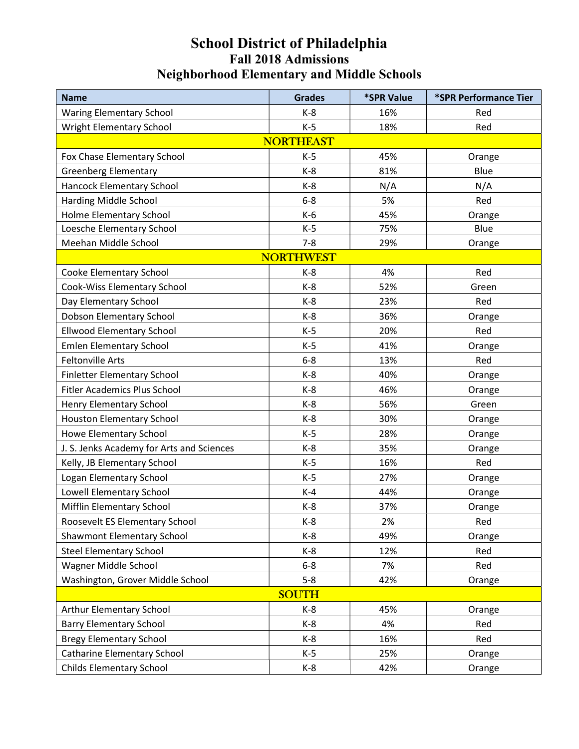| <b>Name</b>                               | <b>Grades</b>    | *SPR Value | *SPR Performance Tier |  |  |
|-------------------------------------------|------------------|------------|-----------------------|--|--|
| <b>Waring Elementary School</b>           | $K-8$            | 16%        | Red                   |  |  |
| <b>Wright Elementary School</b>           | $K-5$            | 18%        | Red                   |  |  |
| <b>NORTHEAST</b>                          |                  |            |                       |  |  |
| Fox Chase Elementary School               | $K-5$            | 45%        | Orange                |  |  |
| <b>Greenberg Elementary</b>               | $K-8$            | 81%        | Blue                  |  |  |
| Hancock Elementary School                 | $K-8$            | N/A        | N/A                   |  |  |
| Harding Middle School                     | $6-8$            | 5%         | Red                   |  |  |
| <b>Holme Elementary School</b>            | K-6              | 45%        | Orange                |  |  |
| Loesche Elementary School                 | $K-5$            | 75%        | Blue                  |  |  |
| Meehan Middle School                      | $7 - 8$          | 29%        | Orange                |  |  |
|                                           | <b>NORTHWEST</b> |            |                       |  |  |
| Cooke Elementary School                   | $K-8$            | 4%         | Red                   |  |  |
| Cook-Wiss Elementary School               | $K-8$            | 52%        | Green                 |  |  |
| Day Elementary School                     | $K-8$            | 23%        | Red                   |  |  |
| Dobson Elementary School                  | $K-8$            | 36%        | Orange                |  |  |
| <b>Ellwood Elementary School</b>          | $K-5$            | 20%        | Red                   |  |  |
| <b>Emlen Elementary School</b>            | $K-5$            | 41%        | Orange                |  |  |
| <b>Feltonville Arts</b>                   | $6-8$            | 13%        | Red                   |  |  |
| <b>Finletter Elementary School</b>        | $K-8$            | 40%        | Orange                |  |  |
| <b>Fitler Academics Plus School</b>       | $K-8$            | 46%        | Orange                |  |  |
| Henry Elementary School                   | $K-8$            | 56%        | Green                 |  |  |
| <b>Houston Elementary School</b>          | $K-8$            | 30%        | Orange                |  |  |
| Howe Elementary School                    | $K-5$            | 28%        | Orange                |  |  |
| J. S. Jenks Academy for Arts and Sciences | $K-8$            | 35%        | Orange                |  |  |
| Kelly, JB Elementary School               | $K-5$            | 16%        | Red                   |  |  |
| Logan Elementary School                   | $K-5$            | 27%        | Orange                |  |  |
| Lowell Elementary School                  | $K-4$            | 44%        | Orange                |  |  |
| Mifflin Elementary School                 | $K-8$            | 37%        | Orange                |  |  |
| Roosevelt ES Elementary School            | $K-8$            | 2%         | Red                   |  |  |
| Shawmont Elementary School                | $K-8$            | 49%        | Orange                |  |  |
| <b>Steel Elementary School</b>            | K-8              | 12%        | Red                   |  |  |
| Wagner Middle School                      | $6-8$            | 7%         | Red                   |  |  |
| Washington, Grover Middle School          | $5 - 8$          | 42%        | Orange                |  |  |
| <b>SOUTH</b>                              |                  |            |                       |  |  |
| Arthur Elementary School                  | $K-8$            | 45%        | Orange                |  |  |
| <b>Barry Elementary School</b>            | $K-8$            | 4%         | Red                   |  |  |
| <b>Bregy Elementary School</b>            | $K-8$            | 16%        | Red                   |  |  |
| Catharine Elementary School               | K-5              | 25%        | Orange                |  |  |
| <b>Childs Elementary School</b>           | $K-8$            | 42%        | Orange                |  |  |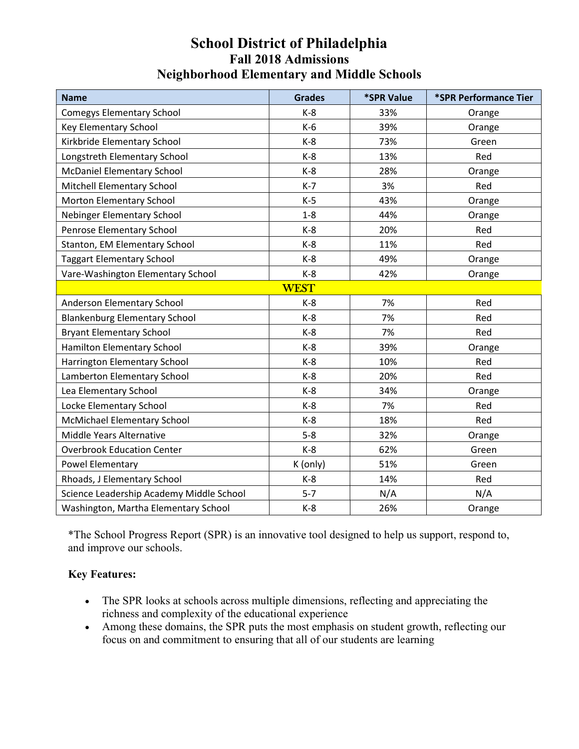| <b>Name</b>                              | <b>Grades</b> | <i><b>*SPR Value</b></i> | *SPR Performance Tier |  |  |
|------------------------------------------|---------------|--------------------------|-----------------------|--|--|
| <b>Comegys Elementary School</b>         | $K-8$         | 33%                      | Orange                |  |  |
| <b>Key Elementary School</b>             | $K-6$         | 39%                      | Orange                |  |  |
| Kirkbride Elementary School              | $K-8$         | 73%                      | Green                 |  |  |
| Longstreth Elementary School             | $K-8$         | 13%                      | Red                   |  |  |
| <b>McDaniel Elementary School</b>        | $K-8$         | 28%                      | Orange                |  |  |
| Mitchell Elementary School               | $K-7$         | 3%                       | Red                   |  |  |
| Morton Elementary School                 | $K-5$         | 43%                      | Orange                |  |  |
| Nebinger Elementary School               | $1 - 8$       | 44%                      | Orange                |  |  |
| Penrose Elementary School                | $K-8$         | 20%                      | Red                   |  |  |
| Stanton, EM Elementary School            | $K-8$         | 11%                      | Red                   |  |  |
| <b>Taggart Elementary School</b>         | $K-8$         | 49%                      | Orange                |  |  |
| Vare-Washington Elementary School        | $K-8$         | 42%                      | Orange                |  |  |
| <b>WEST</b>                              |               |                          |                       |  |  |
| Anderson Elementary School               | $K-8$         | 7%                       | Red                   |  |  |
| <b>Blankenburg Elementary School</b>     | $K-8$         | 7%                       | Red                   |  |  |
| <b>Bryant Elementary School</b>          | $K-8$         | 7%                       | Red                   |  |  |
| Hamilton Elementary School               | $K-8$         | 39%                      | Orange                |  |  |
| Harrington Elementary School             | $K-8$         | 10%                      | Red                   |  |  |
| Lamberton Elementary School              | $K-8$         | 20%                      | Red                   |  |  |
| Lea Elementary School                    | $K-8$         | 34%                      | Orange                |  |  |
| Locke Elementary School                  | $K-8$         | 7%                       | Red                   |  |  |
| McMichael Elementary School              | $K-8$         | 18%                      | Red                   |  |  |
| Middle Years Alternative                 | $5-8$         | 32%                      | Orange                |  |  |
| <b>Overbrook Education Center</b>        | $K-8$         | 62%                      | Green                 |  |  |
| <b>Powel Elementary</b>                  | K (only)      | 51%                      | Green                 |  |  |
| Rhoads, J Elementary School              | $K-8$         | 14%                      | Red                   |  |  |
| Science Leadership Academy Middle School | $5 - 7$       | N/A                      | N/A                   |  |  |
| Washington, Martha Elementary School     | $K-8$         | 26%                      | Orange                |  |  |

\*The School Progress Report (SPR) is an innovative tool designed to help us support, respond to, and improve our schools.

#### Key Features:

- The SPR looks at schools across multiple dimensions, reflecting and appreciating the richness and complexity of the educational experience
- Among these domains, the SPR puts the most emphasis on student growth, reflecting our focus on and commitment to ensuring that all of our students are learning